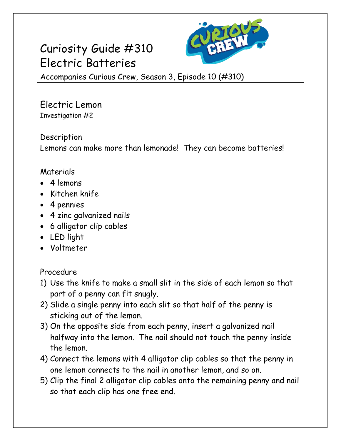# Curiosity Guide #310 Electric Batteries



Accompanies Curious Crew, Season 3, Episode 10 (#310)

Electric Lemon Investigation #2

#### Description

Lemons can make more than lemonade! They can become batteries!

### Materials

- 4 lemons
- Kitchen knife
- 4 pennies
- 4 zinc galvanized nails
- 6 alligator clip cables
- LED light
- Voltmeter

Procedure

- 1) Use the knife to make a small slit in the side of each lemon so that part of a penny can fit snugly.
- 2) Slide a single penny into each slit so that half of the penny is sticking out of the lemon.
- 3) On the opposite side from each penny, insert a galvanized nail halfway into the lemon. The nail should not touch the penny inside the lemon.
- 4) Connect the lemons with 4 alligator clip cables so that the penny in one lemon connects to the nail in another lemon, and so on.
- 5) Clip the final 2 alligator clip cables onto the remaining penny and nail so that each clip has one free end.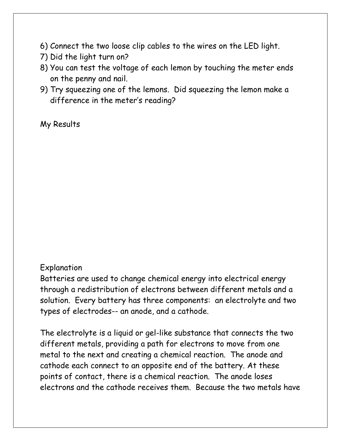- 6) Connect the two loose clip cables to the wires on the LED light.
- 7) Did the light turn on?
- 8) You can test the voltage of each lemon by touching the meter ends on the penny and nail.
- 9) Try squeezing one of the lemons. Did squeezing the lemon make a difference in the meter's reading?

My Results

#### Explanation

Batteries are used to change chemical energy into electrical energy through a redistribution of electrons between different metals and a solution. Every battery has three components: an electrolyte and two types of electrodes-- an anode, and a cathode.

The electrolyte is a liquid or gel-like substance that connects the two different metals, providing a path for electrons to move from one metal to the next and creating a chemical reaction. The anode and cathode each connect to an opposite end of the battery. At these points of contact, there is a chemical reaction. The anode loses electrons and the cathode receives them. Because the two metals have